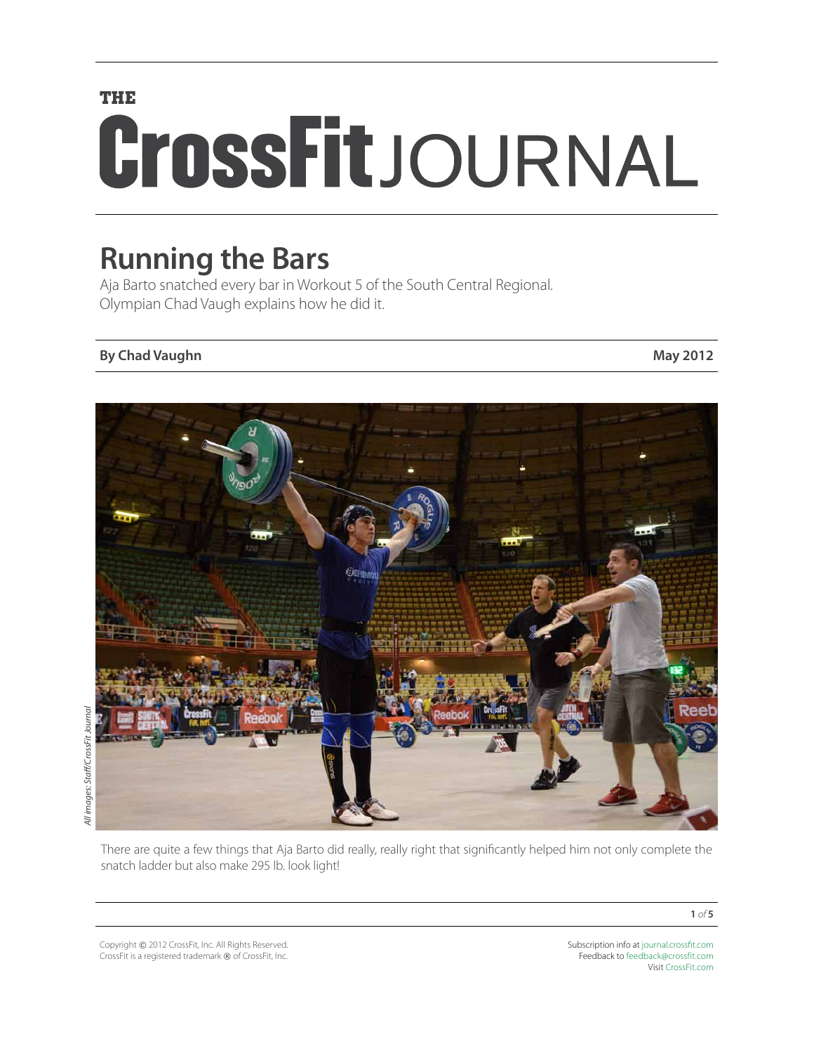# **THE** CrossFitJOURNAL

# **Running the Bars**

Aja Barto snatched every bar in Workout 5 of the South Central Regional. Olympian Chad Vaugh explains how he did it.

### **By Chad Vaughn May 2012**



There are quite a few things that Aja Barto did really, really right that significantly helped him not only complete the snatch ladder but also make 295 lb. look light!

Copyright © 2012 CrossFit, Inc. All Rights Reserved. CrossFit is a registered trademark ® of CrossFit, Inc.

Subscription info at [journal.crossfit.com](http://journal.crossfit.com) Feedback to [feedback@crossfit.com](mailto:feedback@crossfit.com) Visit [CrossFit.com](http://www.crossfit.com)

**1** *of* **5**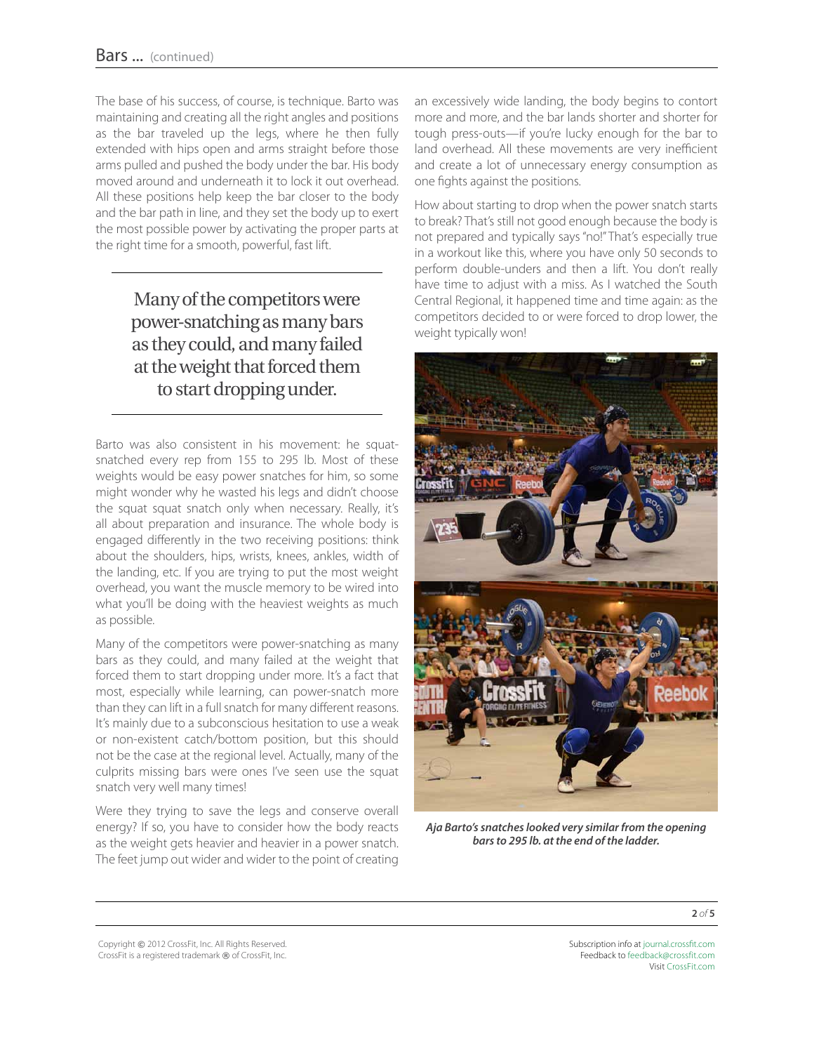The base of his success, of course, is technique. Barto was maintaining and creating all the right angles and positions as the bar traveled up the legs, where he then fully extended with hips open and arms straight before those arms pulled and pushed the body under the bar. His body moved around and underneath it to lock it out overhead. All these positions help keep the bar closer to the body and the bar path in line, and they set the body up to exert the most possible power by activating the proper parts at the right time for a smooth, powerful, fast lift.

## Many of the competitors were power-snatching as many bars as they could, and many failed at the weight that forced them to start dropping under.

Barto was also consistent in his movement: he squatsnatched every rep from 155 to 295 lb. Most of these weights would be easy power snatches for him, so some might wonder why he wasted his legs and didn't choose the squat squat snatch only when necessary. Really, it's all about preparation and insurance. The whole body is engaged differently in the two receiving positions: think about the shoulders, hips, wrists, knees, ankles, width of the landing, etc. If you are trying to put the most weight overhead, you want the muscle memory to be wired into what you'll be doing with the heaviest weights as much as possible.

Many of the competitors were power-snatching as many bars as they could, and many failed at the weight that forced them to start dropping under more. It's a fact that most, especially while learning, can power-snatch more than they can lift in a full snatch for many different reasons. It's mainly due to a subconscious hesitation to use a weak or non-existent catch/bottom position, but this should not be the case at the regional level. Actually, many of the culprits missing bars were ones I've seen use the squat snatch very well many times!

Were they trying to save the legs and conserve overall energy? If so, you have to consider how the body reacts as the weight gets heavier and heavier in a power snatch. The feet jump out wider and wider to the point of creating

an excessively wide landing, the body begins to contort more and more, and the bar lands shorter and shorter for tough press-outs—if you're lucky enough for the bar to land overhead. All these movements are very inefficient and create a lot of unnecessary energy consumption as one fights against the positions.

How about starting to drop when the power snatch starts to break? That's still not good enough because the body is not prepared and typically says "no!" That's especially true in a workout like this, where you have only 50 seconds to perform double-unders and then a lift. You don't really have time to adjust with a miss. As I watched the South Central Regional, it happened time and time again: as the competitors decided to or were forced to drop lower, the weight typically won!



*Aja Barto's snatches looked very similar from the opening bars to 295 lb. at the end of the ladder.*

Copyright © 2012 CrossFit, Inc. All Rights Reserved. CrossFit is a registered trademark ® of CrossFit, Inc.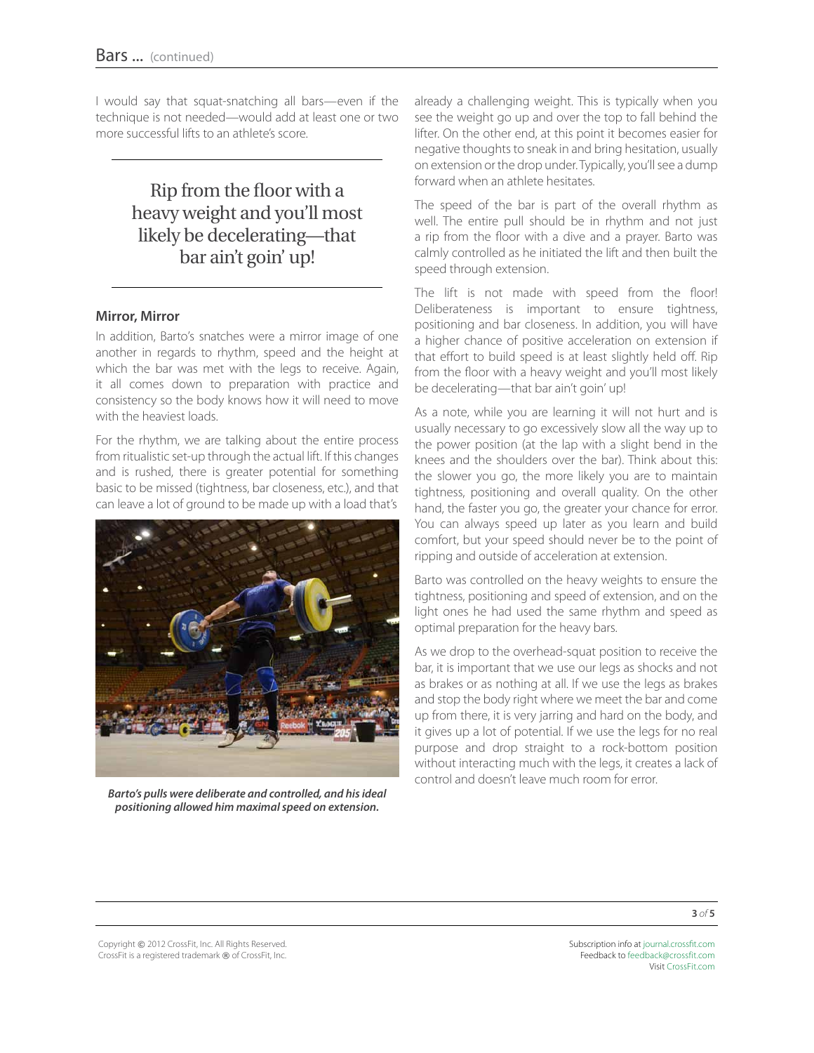I would say that squat-snatching all bars—even if the technique is not needed—would add at least one or two more successful lifts to an athlete's score.

> Rip from the floor with a heavy weight and you'll most likely be decelerating—that bar ain't goin' up!

#### **Mirror, Mirror**

In addition, Barto's snatches were a mirror image of one another in regards to rhythm, speed and the height at which the bar was met with the legs to receive. Again, it all comes down to preparation with practice and consistency so the body knows how it will need to move with the heaviest loads.

For the rhythm, we are talking about the entire process from ritualistic set-up through the actual lift. If this changes and is rushed, there is greater potential for something basic to be missed (tightness, bar closeness, etc.), and that can leave a lot of ground to be made up with a load that's



*Barto's pulls were deliberate and controlled, and his ideal positioning allowed him maximal speed on extension.*

already a challenging weight. This is typically when you see the weight go up and over the top to fall behind the lifter. On the other end, at this point it becomes easier for negative thoughts to sneak in and bring hesitation, usually on extension or the drop under. Typically, you'll see a dump forward when an athlete hesitates.

The speed of the bar is part of the overall rhythm as well. The entire pull should be in rhythm and not just a rip from the floor with a dive and a prayer. Barto was calmly controlled as he initiated the lift and then built the speed through extension.

The lift is not made with speed from the floor! Deliberateness is important to ensure tightness, positioning and bar closeness. In addition, you will have a higher chance of positive acceleration on extension if that effort to build speed is at least slightly held off. Rip from the floor with a heavy weight and you'll most likely be decelerating—that bar ain't goin' up!

As a note, while you are learning it will not hurt and is usually necessary to go excessively slow all the way up to the power position (at the lap with a slight bend in the knees and the shoulders over the bar). Think about this: the slower you go, the more likely you are to maintain tightness, positioning and overall quality. On the other hand, the faster you go, the greater your chance for error. You can always speed up later as you learn and build comfort, but your speed should never be to the point of ripping and outside of acceleration at extension.

Barto was controlled on the heavy weights to ensure the tightness, positioning and speed of extension, and on the light ones he had used the same rhythm and speed as optimal preparation for the heavy bars.

As we drop to the overhead-squat position to receive the bar, it is important that we use our legs as shocks and not as brakes or as nothing at all. If we use the legs as brakes and stop the body right where we meet the bar and come up from there, it is very jarring and hard on the body, and it gives up a lot of potential. If we use the legs for no real purpose and drop straight to a rock-bottom position without interacting much with the legs, it creates a lack of control and doesn't leave much room for error.

Copyright © 2012 CrossFit, Inc. All Rights Reserved. CrossFit is a registered trademark ® of CrossFit, Inc.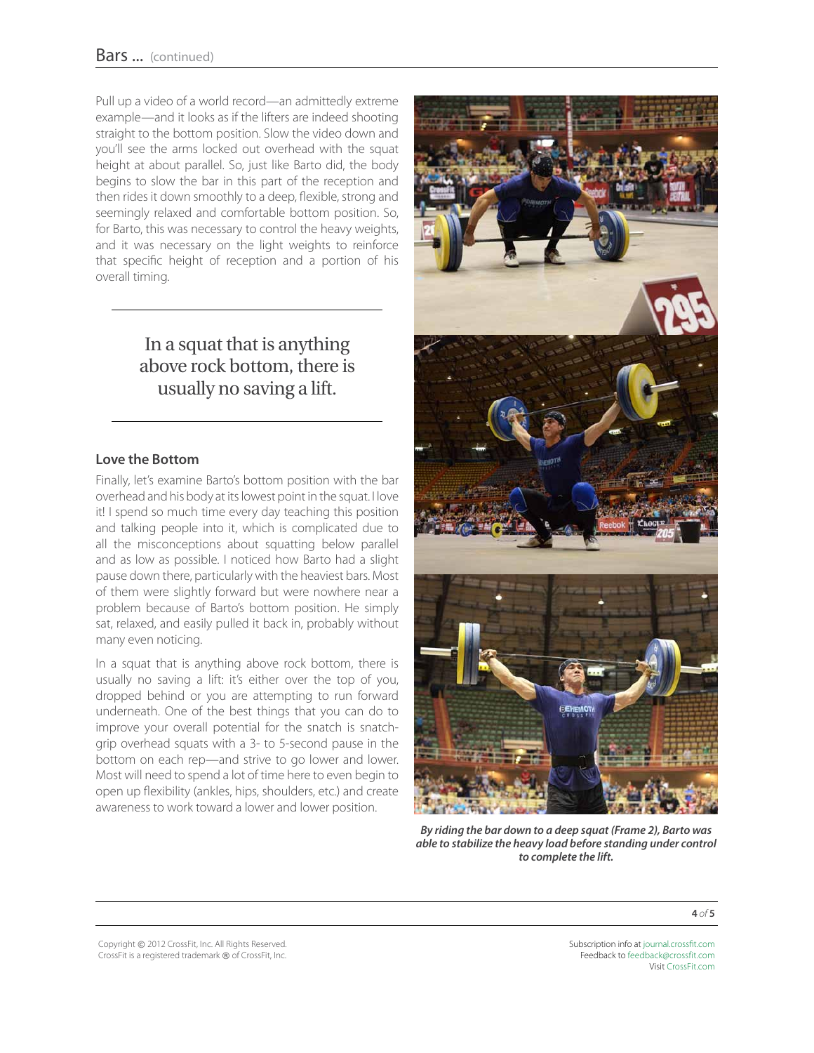Pull up a video of a world record—an admittedly extreme example—and it looks as if the lifters are indeed shooting straight to the bottom position. Slow the video down and you'll see the arms locked out overhead with the squat height at about parallel. So, just like Barto did, the body begins to slow the bar in this part of the reception and then rides it down smoothly to a deep, flexible, strong and seemingly relaxed and comfortable bottom position. So, for Barto, this was necessary to control the heavy weights, and it was necessary on the light weights to reinforce that specific height of reception and a portion of his overall timing.

# In a squat that is anything above rock bottom, there is usually no saving a lift.

#### **Love the Bottom**

Finally, let's examine Barto's bottom position with the bar overhead and his body at its lowest point in the squat. I love it! I spend so much time every day teaching this position and talking people into it, which is complicated due to all the misconceptions about squatting below parallel and as low as possible. I noticed how Barto had a slight pause down there, particularly with the heaviest bars. Most of them were slightly forward but were nowhere near a problem because of Barto's bottom position. He simply sat, relaxed, and easily pulled it back in, probably without many even noticing.

In a squat that is anything above rock bottom, there is usually no saving a lift: it's either over the top of you, dropped behind or you are attempting to run forward underneath. One of the best things that you can do to improve your overall potential for the snatch is snatchgrip overhead squats with a 3- to 5-second pause in the bottom on each rep—and strive to go lower and lower. Most will need to spend a lot of time here to even begin to open up flexibility (ankles, hips, shoulders, etc.) and create awareness to work toward a lower and lower position.



*By riding the bar down to a deep squat (Frame 2), Barto was able to stabilize the heavy load before standing under control to complete the lift.*

**4** *of* **5**

Copyright © 2012 CrossFit, Inc. All Rights Reserved. CrossFit is a registered trademark ® of CrossFit, Inc.